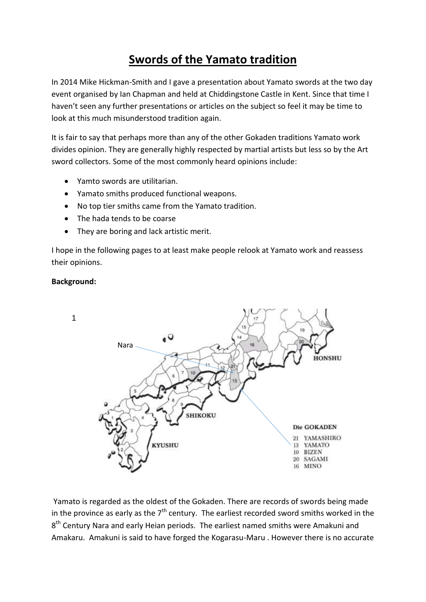# **Swords of the Yamato tradition**

In 2014 Mike Hickman-Smith and I gave a presentation about Yamato swords at the two day event organised by Ian Chapman and held at Chiddingstone Castle in Kent. Since that time I haven't seen any further presentations or articles on the subject so feel it may be time to look at this much misunderstood tradition again.

It is fair to say that perhaps more than any of the other Gokaden traditions Yamato work divides opinion. They are generally highly respected by martial artists but less so by the Art sword collectors. Some of the most commonly heard opinions include:

- Yamto swords are utilitarian.
- Yamato smiths produced functional weapons.
- No top tier smiths came from the Yamato tradition.
- The hada tends to be coarse
- They are boring and lack artistic merit.

I hope in the following pages to at least make people relook at Yamato work and reassess their opinions.

## ٠Q Nara **HONSHU SHIKOKU** Die GOKADEN **YAMASHIRO** 91. **KYUSHU** YAMATO **RIZEN** 20 SAGAMI **MINO** 16

**Background:**

1

Yamato is regarded as the oldest of the Gokaden. There are records of swords being made in the province as early as the  $7<sup>th</sup>$  century. The earliest recorded sword smiths worked in the 8<sup>th</sup> Century Nara and early Heian periods. The earliest named smiths were Amakuni and Amakaru. Amakuni is said to have forged the Kogarasu-Maru . However there is no accurate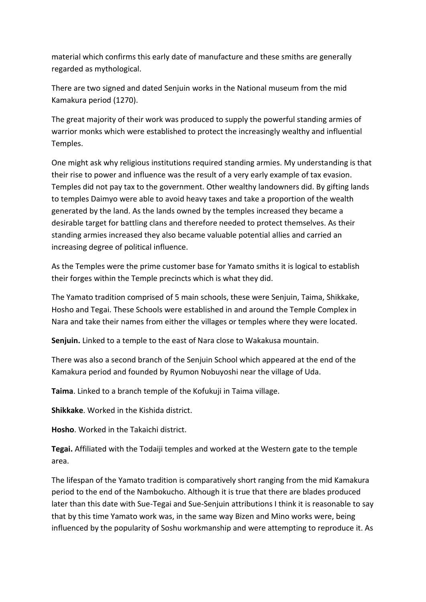material which confirms this early date of manufacture and these smiths are generally regarded as mythological.

There are two signed and dated Senjuin works in the National museum from the mid Kamakura period (1270).

The great majority of their work was produced to supply the powerful standing armies of warrior monks which were established to protect the increasingly wealthy and influential Temples.

One might ask why religious institutions required standing armies. My understanding is that their rise to power and influence was the result of a very early example of tax evasion. Temples did not pay tax to the government. Other wealthy landowners did. By gifting lands to temples Daimyo were able to avoid heavy taxes and take a proportion of the wealth generated by the land. As the lands owned by the temples increased they became a desirable target for battling clans and therefore needed to protect themselves. As their standing armies increased they also became valuable potential allies and carried an increasing degree of political influence.

As the Temples were the prime customer base for Yamato smiths it is logical to establish their forges within the Temple precincts which is what they did.

The Yamato tradition comprised of 5 main schools, these were Senjuin, Taima, Shikkake, Hosho and Tegai. These Schools were established in and around the Temple Complex in Nara and take their names from either the villages or temples where they were located.

**Senjuin.** Linked to a temple to the east of Nara close to Wakakusa mountain.

There was also a second branch of the Senjuin School which appeared at the end of the Kamakura period and founded by Ryumon Nobuyoshi near the village of Uda.

**Taima**. Linked to a branch temple of the Kofukuji in Taima village.

**Shikkake**. Worked in the Kishida district.

**Hosho**. Worked in the Takaichi district.

**Tegai.** Affiliated with the Todaiji temples and worked at the Western gate to the temple area.

The lifespan of the Yamato tradition is comparatively short ranging from the mid Kamakura period to the end of the Nambokucho. Although it is true that there are blades produced later than this date with Sue-Tegai and Sue-Senjuin attributions I think it is reasonable to say that by this time Yamato work was, in the same way Bizen and Mino works were, being influenced by the popularity of Soshu workmanship and were attempting to reproduce it. As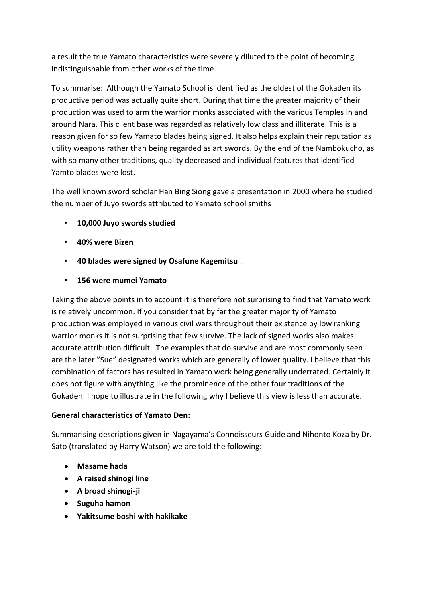a result the true Yamato characteristics were severely diluted to the point of becoming indistinguishable from other works of the time.

To summarise: Although the Yamato School is identified as the oldest of the Gokaden its productive period was actually quite short. During that time the greater majority of their production was used to arm the warrior monks associated with the various Temples in and around Nara. This client base was regarded as relatively low class and illiterate. This is a reason given for so few Yamato blades being signed. It also helps explain their reputation as utility weapons rather than being regarded as art swords. By the end of the Nambokucho, as with so many other traditions, quality decreased and individual features that identified Yamto blades were lost.

The well known sword scholar Han Bing Siong gave a presentation in 2000 where he studied the number of Juyo swords attributed to Yamato school smiths

- **10,000 Juyo swords studied**
- **40% were Bizen**
- **40 blades were signed by Osafune Kagemitsu** .
- **156 were mumei Yamato**

Taking the above points in to account it is therefore not surprising to find that Yamato work is relatively uncommon. If you consider that by far the greater majority of Yamato production was employed in various civil wars throughout their existence by low ranking warrior monks it is not surprising that few survive. The lack of signed works also makes accurate attribution difficult. The examples that do survive and are most commonly seen are the later "Sue" designated works which are generally of lower quality. I believe that this combination of factors has resulted in Yamato work being generally underrated. Certainly it does not figure with anything like the prominence of the other four traditions of the Gokaden. I hope to illustrate in the following why I believe this view is less than accurate.

## **General characteristics of Yamato Den:**

Summarising descriptions given in Nagayama's Connoisseurs Guide and Nihonto Koza by Dr. Sato (translated by Harry Watson) we are told the following:

- **Masame hada**
- **A raised shinogi line**
- **A broad shinogi-ji**
- **s** Suguha hamon
- **Yakitsume boshi with hakikake**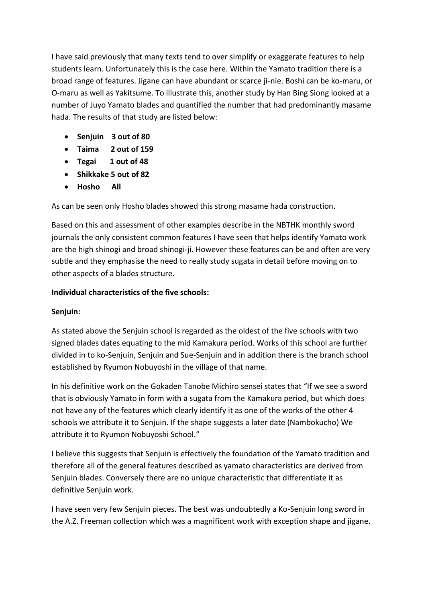I have said previously that many texts tend to over simplify or exaggerate features to help students learn. Unfortunately this is the case here. Within the Yamato tradition there is a broad range of features. Jigane can have abundant or scarce ji-nie. Boshi can be ko-maru, or O-maru as well as Yakitsume. To illustrate this, another study by Han Bing Siong looked at a number of Juyo Yamato blades and quantified the number that had predominantly masame hada. The results of that study are listed below:

- **Senjuin 3 out of 80**
- **Taima 2 out of 159**
- **Tegai 1 out of 48**
- **Shikkake 5 out of 82**
- **Hosho All**

As can be seen only Hosho blades showed this strong masame hada construction.

Based on this and assessment of other examples describe in the NBTHK monthly sword journals the only consistent common features I have seen that helps identify Yamato work are the high shinogi and broad shinogi-ji. However these features can be and often are very subtle and they emphasise the need to really study sugata in detail before moving on to other aspects of a blades structure.

## **Individual characteristics of the five schools:**

## **Senjuin:**

As stated above the Senjuin school is regarded as the oldest of the five schools with two signed blades dates equating to the mid Kamakura period. Works of this school are further divided in to ko-Senjuin, Senjuin and Sue-Senjuin and in addition there is the branch school established by Ryumon Nobuyoshi in the village of that name.

In his definitive work on the Gokaden Tanobe Michiro sensei states that "If we see a sword that is obviously Yamato in form with a sugata from the Kamakura period, but which does not have any of the features which clearly identify it as one of the works of the other 4 schools we attribute it to Senjuin. If the shape suggests a later date (Nambokucho) We attribute it to Ryumon Nobuyoshi School."

I believe this suggests that Senjuin is effectively the foundation of the Yamato tradition and therefore all of the general features described as yamato characteristics are derived from Senjuin blades. Conversely there are no unique characteristic that differentiate it as definitive Senjuin work.

I have seen very few Senjuin pieces. The best was undoubtedly a Ko-Senjuin long sword in the A.Z. Freeman collection which was a magnificent work with exception shape and jigane.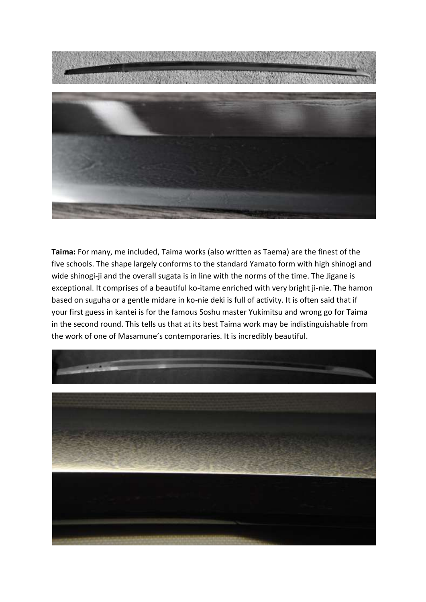

**Taima:** For many, me included, Taima works (also written as Taema) are the finest of the five schools. The shape largely conforms to the standard Yamato form with high shinogi and wide shinogi-ji and the overall sugata is in line with the norms of the time. The Jigane is exceptional. It comprises of a beautiful ko-itame enriched with very bright ji-nie. The hamon based on suguha or a gentle midare in ko-nie deki is full of activity. It is often said that if your first guess in kantei is for the famous Soshu master Yukimitsu and wrong go for Taima in the second round. This tells us that at its best Taima work may be indistinguishable from the work of one of Masamune's contemporaries. It is incredibly beautiful.

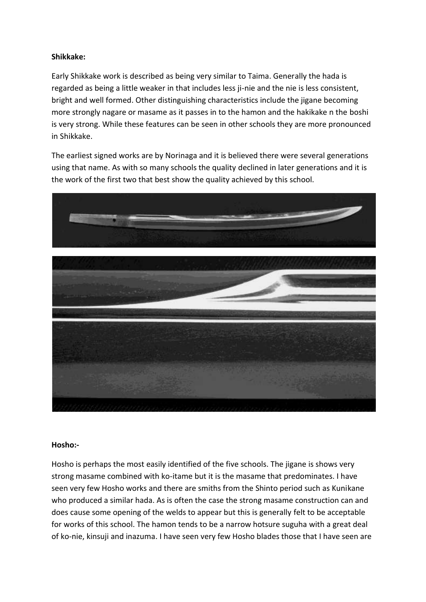### **Shikkake:**

Early Shikkake work is described as being very similar to Taima. Generally the hada is regarded as being a little weaker in that includes less ji-nie and the nie is less consistent, bright and well formed. Other distinguishing characteristics include the jigane becoming more strongly nagare or masame as it passes in to the hamon and the hakikake n the boshi is very strong. While these features can be seen in other schools they are more pronounced in Shikkake.

The earliest signed works are by Norinaga and it is believed there were several generations using that name. As with so many schools the quality declined in later generations and it is the work of the first two that best show the quality achieved by this school.



#### **Hosho:-**

Hosho is perhaps the most easily identified of the five schools. The jigane is shows very strong masame combined with ko-itame but it is the masame that predominates. I have seen very few Hosho works and there are smiths from the Shinto period such as Kunikane who produced a similar hada. As is often the case the strong masame construction can and does cause some opening of the welds to appear but this is generally felt to be acceptable for works of this school. The hamon tends to be a narrow hotsure suguha with a great deal of ko-nie, kinsuji and inazuma. I have seen very few Hosho blades those that I have seen are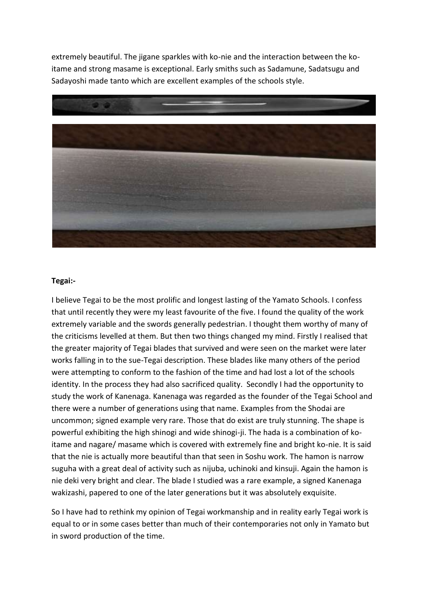extremely beautiful. The jigane sparkles with ko-nie and the interaction between the koitame and strong masame is exceptional. Early smiths such as Sadamune, Sadatsugu and Sadayoshi made tanto which are excellent examples of the schools style.



#### **Tegai:-**

I believe Tegai to be the most prolific and longest lasting of the Yamato Schools. I confess that until recently they were my least favourite of the five. I found the quality of the work extremely variable and the swords generally pedestrian. I thought them worthy of many of the criticisms levelled at them. But then two things changed my mind. Firstly I realised that the greater majority of Tegai blades that survived and were seen on the market were later works falling in to the sue-Tegai description. These blades like many others of the period were attempting to conform to the fashion of the time and had lost a lot of the schools identity. In the process they had also sacrificed quality. Secondly I had the opportunity to study the work of Kanenaga. Kanenaga was regarded as the founder of the Tegai School and there were a number of generations using that name. Examples from the Shodai are uncommon; signed example very rare. Those that do exist are truly stunning. The shape is powerful exhibiting the high shinogi and wide shinogi-ji. The hada is a combination of koitame and nagare/ masame which is covered with extremely fine and bright ko-nie. It is said that the nie is actually more beautiful than that seen in Soshu work. The hamon is narrow suguha with a great deal of activity such as nijuba, uchinoki and kinsuji. Again the hamon is nie deki very bright and clear. The blade I studied was a rare example, a signed Kanenaga wakizashi, papered to one of the later generations but it was absolutely exquisite.

So I have had to rethink my opinion of Tegai workmanship and in reality early Tegai work is equal to or in some cases better than much of their contemporaries not only in Yamato but in sword production of the time.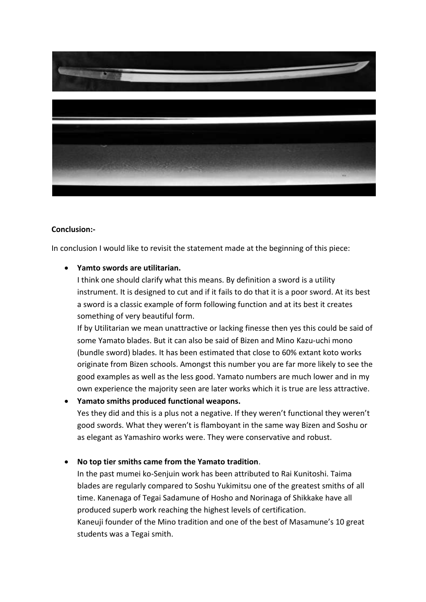

#### **Conclusion:-**

In conclusion I would like to revisit the statement made at the beginning of this piece:

#### **Yamto swords are utilitarian.**

I think one should clarify what this means. By definition a sword is a utility instrument. It is designed to cut and if it fails to do that it is a poor sword. At its best a sword is a classic example of form following function and at its best it creates something of very beautiful form.

If by Utilitarian we mean unattractive or lacking finesse then yes this could be said of some Yamato blades. But it can also be said of Bizen and Mino Kazu-uchi mono (bundle sword) blades. It has been estimated that close to 60% extant koto works originate from Bizen schools. Amongst this number you are far more likely to see the good examples as well as the less good. Yamato numbers are much lower and in my own experience the majority seen are later works which it is true are less attractive.

**Yamato smiths produced functional weapons.**

Yes they did and this is a plus not a negative. If they weren't functional they weren't good swords. What they weren't is flamboyant in the same way Bizen and Soshu or as elegant as Yamashiro works were. They were conservative and robust.

## **No top tier smiths came from the Yamato tradition**.

In the past mumei ko-Senjuin work has been attributed to Rai Kunitoshi. Taima blades are regularly compared to Soshu Yukimitsu one of the greatest smiths of all time. Kanenaga of Tegai Sadamune of Hosho and Norinaga of Shikkake have all produced superb work reaching the highest levels of certification. Kaneuji founder of the Mino tradition and one of the best of Masamune's 10 great students was a Tegai smith.